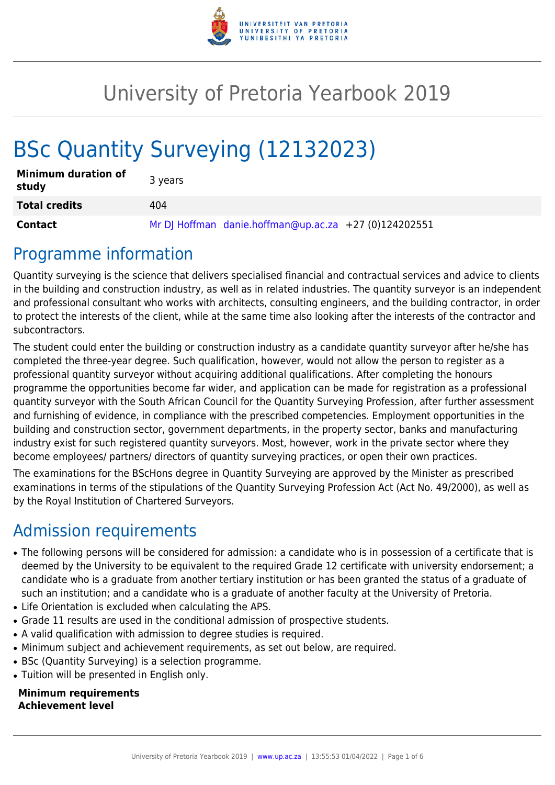

# University of Pretoria Yearbook 2019

# BSc Quantity Surveying (12132023)

| <b>Minimum duration of</b><br>study | 3 years                                               |
|-------------------------------------|-------------------------------------------------------|
| <b>Total credits</b>                | 404                                                   |
| Contact                             | Mr DJ Hoffman danie.hoffman@up.ac.za +27 (0)124202551 |

### Programme information

Quantity surveying is the science that delivers specialised financial and contractual services and advice to clients in the building and construction industry, as well as in related industries. The quantity surveyor is an independent and professional consultant who works with architects, consulting engineers, and the building contractor, in order to protect the interests of the client, while at the same time also looking after the interests of the contractor and subcontractors.

The student could enter the building or construction industry as a candidate quantity surveyor after he/she has completed the three-year degree. Such qualification, however, would not allow the person to register as a professional quantity surveyor without acquiring additional qualifications. After completing the honours programme the opportunities become far wider, and application can be made for registration as a professional quantity surveyor with the South African Council for the Quantity Surveying Profession, after further assessment and furnishing of evidence, in compliance with the prescribed competencies. Employment opportunities in the building and construction sector, government departments, in the property sector, banks and manufacturing industry exist for such registered quantity surveyors. Most, however, work in the private sector where they become employees/ partners/ directors of quantity surveying practices, or open their own practices.

The examinations for the BScHons degree in Quantity Surveying are approved by the Minister as prescribed examinations in terms of the stipulations of the Quantity Surveying Profession Act (Act No. 49/2000), as well as by the Royal Institution of Chartered Surveyors.

# Admission requirements

- The following persons will be considered for admission: a candidate who is in possession of a certificate that is deemed by the University to be equivalent to the required Grade 12 certificate with university endorsement; a candidate who is a graduate from another tertiary institution or has been granted the status of a graduate of such an institution; and a candidate who is a graduate of another faculty at the University of Pretoria.
- Life Orientation is excluded when calculating the APS.
- Grade 11 results are used in the conditional admission of prospective students.
- A valid qualification with admission to degree studies is required.
- Minimum subject and achievement requirements, as set out below, are required.
- BSc (Quantity Surveying) is a selection programme.
- Tuition will be presented in English only.

**Minimum requirements Achievement level**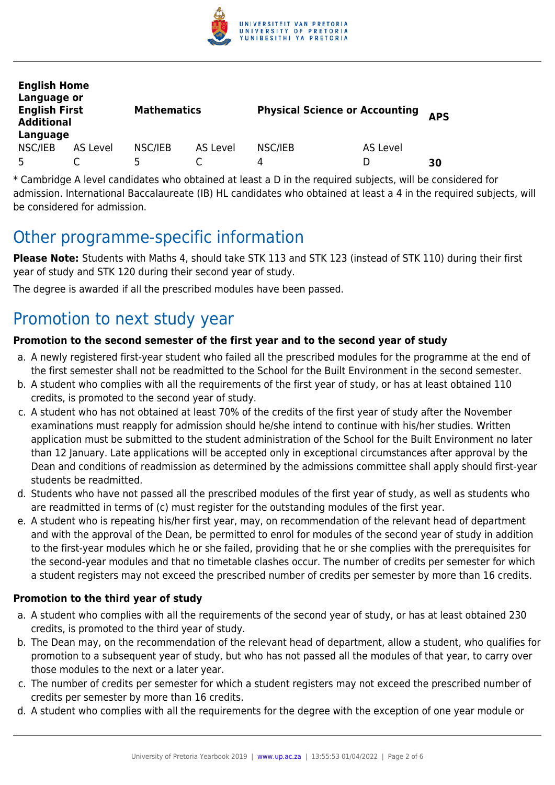

| <b>English Home</b><br>Language or<br><b>English First</b><br><b>Additional</b><br>Language |          | <b>Mathematics</b> |          | <b>Physical Science or Accounting</b> |          | <b>APS</b> |
|---------------------------------------------------------------------------------------------|----------|--------------------|----------|---------------------------------------|----------|------------|
| NSC/IEB                                                                                     | AS Level | NSC/IEB            | AS Level | NSC/IEB                               | AS Level |            |
| 5                                                                                           |          | 5                  |          | 4                                     | D        | 30         |

\* Cambridge A level candidates who obtained at least a D in the required subjects, will be considered for admission. International Baccalaureate (IB) HL candidates who obtained at least a 4 in the required subjects, will be considered for admission.

# Other programme-specific information

**Please Note:** Students with Maths 4, should take STK 113 and STK 123 (instead of STK 110) during their first year of study and STK 120 during their second year of study.

The degree is awarded if all the prescribed modules have been passed.

# Promotion to next study year

#### **Promotion to the second semester of the first year and to the second year of study**

- a. A newly registered first-year student who failed all the prescribed modules for the programme at the end of the first semester shall not be readmitted to the School for the Built Environment in the second semester.
- b. A student who complies with all the requirements of the first year of study, or has at least obtained 110 credits, is promoted to the second year of study.
- c. A student who has not obtained at least 70% of the credits of the first year of study after the November examinations must reapply for admission should he/she intend to continue with his/her studies. Written application must be submitted to the student administration of the School for the Built Environment no later than 12 January. Late applications will be accepted only in exceptional circumstances after approval by the Dean and conditions of readmission as determined by the admissions committee shall apply should first-year students be readmitted.
- d. Students who have not passed all the prescribed modules of the first year of study, as well as students who are readmitted in terms of (c) must register for the outstanding modules of the first year.
- e. A student who is repeating his/her first year, may, on recommendation of the relevant head of department and with the approval of the Dean, be permitted to enrol for modules of the second year of study in addition to the first-year modules which he or she failed, providing that he or she complies with the prerequisites for the second-year modules and that no timetable clashes occur. The number of credits per semester for which a student registers may not exceed the prescribed number of credits per semester by more than 16 credits.

#### **Promotion to the third year of study**

- a. A student who complies with all the requirements of the second year of study, or has at least obtained 230 credits, is promoted to the third year of study.
- b. The Dean may, on the recommendation of the relevant head of department, allow a student, who qualifies for promotion to a subsequent year of study, but who has not passed all the modules of that year, to carry over those modules to the next or a later year.
- c. The number of credits per semester for which a student registers may not exceed the prescribed number of credits per semester by more than 16 credits.
- d. A student who complies with all the requirements for the degree with the exception of one year module or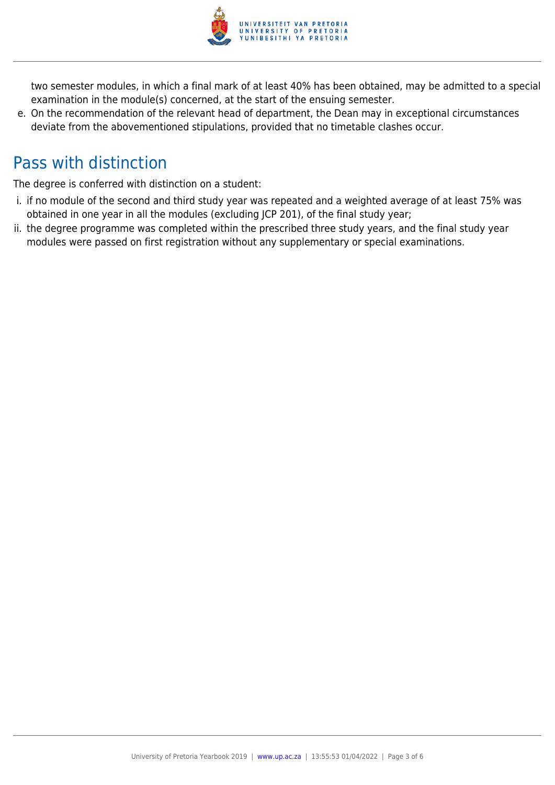

two semester modules, in which a final mark of at least 40% has been obtained, may be admitted to a special examination in the module(s) concerned, at the start of the ensuing semester.

e. On the recommendation of the relevant head of department, the Dean may in exceptional circumstances deviate from the abovementioned stipulations, provided that no timetable clashes occur.

# Pass with distinction

The degree is conferred with distinction on a student:

- i. if no module of the second and third study year was repeated and a weighted average of at least 75% was obtained in one year in all the modules (excluding JCP 201), of the final study year;
- ii. the degree programme was completed within the prescribed three study years, and the final study year modules were passed on first registration without any supplementary or special examinations.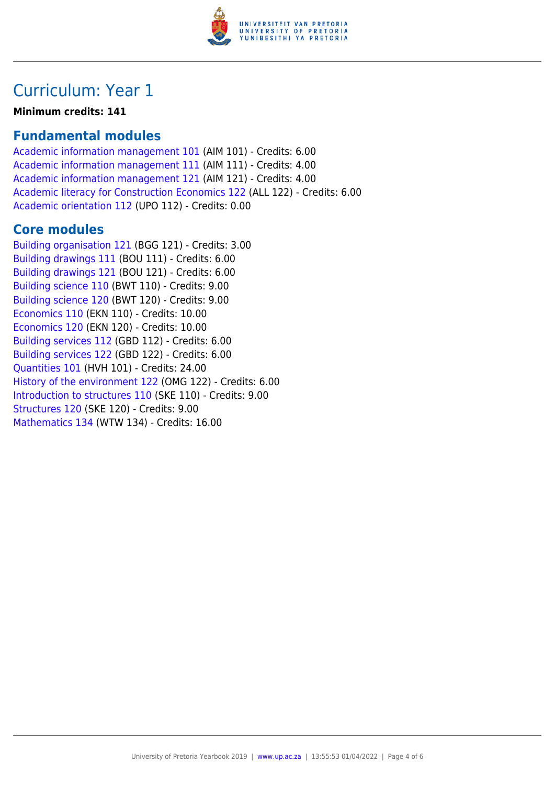

### Curriculum: Year 1

**Minimum credits: 141**

#### **Fundamental modules**

[Academic information management 101](https://www.up.ac.za/yearbooks/2019/modules/view/AIM 101) (AIM 101) - Credits: 6.00 [Academic information management 111](https://www.up.ac.za/yearbooks/2019/modules/view/AIM 111) (AIM 111) - Credits: 4.00 [Academic information management 121](https://www.up.ac.za/yearbooks/2019/modules/view/AIM 121) (AIM 121) - Credits: 4.00 [Academic literacy for Construction Economics 122](https://www.up.ac.za/yearbooks/2019/modules/view/ALL 122) (ALL 122) - Credits: 6.00 [Academic orientation 112](https://www.up.ac.za/yearbooks/2019/modules/view/UPO 112) (UPO 112) - Credits: 0.00

#### **Core modules**

[Building organisation 121](https://www.up.ac.za/yearbooks/2019/modules/view/BGG 121) (BGG 121) - Credits: 3.00 [Building drawings 111](https://www.up.ac.za/yearbooks/2019/modules/view/BOU 111) (BOU 111) - Credits: 6.00 [Building drawings 121](https://www.up.ac.za/yearbooks/2019/modules/view/BOU 121) (BOU 121) - Credits: 6.00 [Building science 110](https://www.up.ac.za/yearbooks/2019/modules/view/BWT 110) (BWT 110) - Credits: 9.00 [Building science 120](https://www.up.ac.za/yearbooks/2019/modules/view/BWT 120) (BWT 120) - Credits: 9.00 [Economics 110](https://www.up.ac.za/yearbooks/2019/modules/view/EKN 110) (EKN 110) - Credits: 10.00 [Economics 120](https://www.up.ac.za/yearbooks/2019/modules/view/EKN 120) (EKN 120) - Credits: 10.00 [Building services 112](https://www.up.ac.za/yearbooks/2019/modules/view/GBD 112) (GBD 112) - Credits: 6.00 [Building services 122](https://www.up.ac.za/yearbooks/2019/modules/view/GBD 122) (GBD 122) - Credits: 6.00 [Quantities 101](https://www.up.ac.za/yearbooks/2019/modules/view/HVH 101) (HVH 101) - Credits: 24.00 [History of the environment 122](https://www.up.ac.za/yearbooks/2019/modules/view/OMG 122) (OMG 122) - Credits: 6.00 [Introduction to structures 110](https://www.up.ac.za/yearbooks/2019/modules/view/SKE 110) (SKE 110) - Credits: 9.00 [Structures 120](https://www.up.ac.za/yearbooks/2019/modules/view/SKE 120) (SKE 120) - Credits: 9.00 [Mathematics 134](https://www.up.ac.za/yearbooks/2019/modules/view/WTW 134) (WTW 134) - Credits: 16.00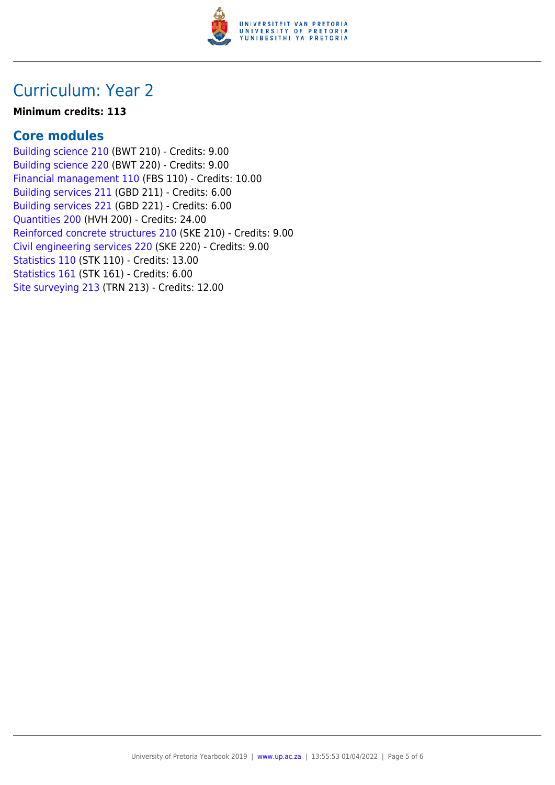

### Curriculum: Year 2

#### **Minimum credits: 113**

#### **Core modules**

[Building science 210](https://www.up.ac.za/yearbooks/2019/modules/view/BWT 210) (BWT 210) - Credits: 9.00 [Building science 220](https://www.up.ac.za/yearbooks/2019/modules/view/BWT 220) (BWT 220) - Credits: 9.00 [Financial management 110](https://www.up.ac.za/yearbooks/2019/modules/view/FBS 110) (FBS 110) - Credits: 10.00 [Building services 211](https://www.up.ac.za/yearbooks/2019/modules/view/GBD 211) (GBD 211) - Credits: 6.00 [Building services 221](https://www.up.ac.za/yearbooks/2019/modules/view/GBD 221) (GBD 221) - Credits: 6.00 [Quantities 200](https://www.up.ac.za/yearbooks/2019/modules/view/HVH 200) (HVH 200) - Credits: 24.00 [Reinforced concrete structures 210](https://www.up.ac.za/yearbooks/2019/modules/view/SKE 210) (SKE 210) - Credits: 9.00 [Civil engineering services 220](https://www.up.ac.za/yearbooks/2019/modules/view/SKE 220) (SKE 220) - Credits: 9.00 [Statistics 110](https://www.up.ac.za/yearbooks/2019/modules/view/STK 110) (STK 110) - Credits: 13.00 [Statistics 161](https://www.up.ac.za/yearbooks/2019/modules/view/STK 161) (STK 161) - Credits: 6.00 [Site surveying 213](https://www.up.ac.za/yearbooks/2019/modules/view/TRN 213) (TRN 213) - Credits: 12.00